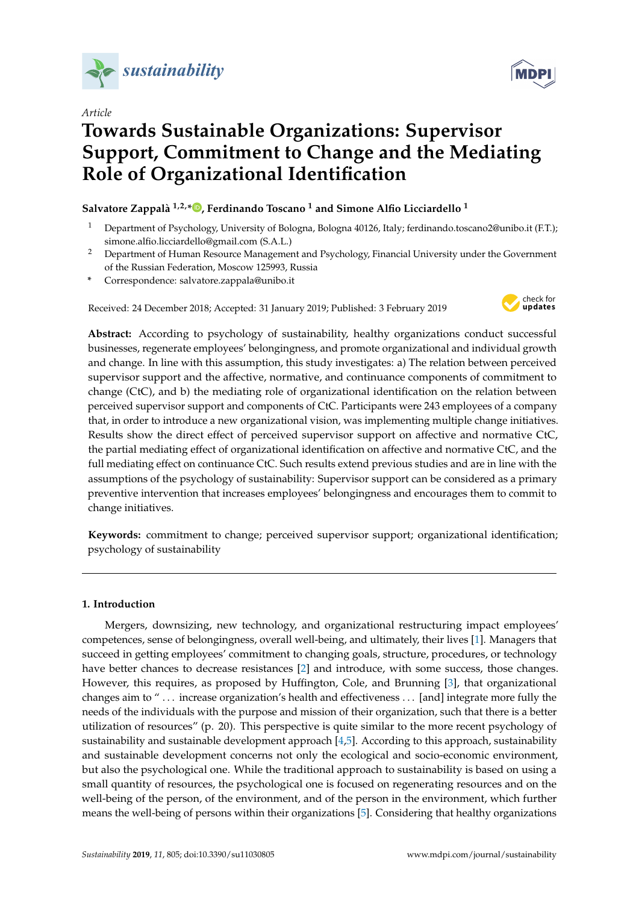

*Article*

# **Towards Sustainable Organizations: Supervisor Support, Commitment to Change and the Mediating Role of Organizational Identification**

# **Salvatore Zappalà 1,2,[\\*](https://orcid.org/0000-0002-8679-1063) , Ferdinando Toscano <sup>1</sup> and Simone Alfio Licciardello <sup>1</sup>**

- <sup>1</sup> Department of Psychology, University of Bologna, Bologna 40126, Italy; ferdinando.toscano2@unibo.it (F.T.); simone.alfio.licciardello@gmail.com (S.A.L.)
- <sup>2</sup> Department of Human Resource Management and Psychology, Financial University under the Government of the Russian Federation, Moscow 125993, Russia
- **\*** Correspondence: salvatore.zappala@unibo.it

Received: 24 December 2018; Accepted: 31 January 2019; Published: 3 February 2019



**Abstract:** According to psychology of sustainability, healthy organizations conduct successful businesses, regenerate employees' belongingness, and promote organizational and individual growth and change. In line with this assumption, this study investigates: a) The relation between perceived supervisor support and the affective, normative, and continuance components of commitment to change (CtC), and b) the mediating role of organizational identification on the relation between perceived supervisor support and components of CtC. Participants were 243 employees of a company that, in order to introduce a new organizational vision, was implementing multiple change initiatives. Results show the direct effect of perceived supervisor support on affective and normative CtC, the partial mediating effect of organizational identification on affective and normative CtC, and the full mediating effect on continuance CtC. Such results extend previous studies and are in line with the assumptions of the psychology of sustainability: Supervisor support can be considered as a primary preventive intervention that increases employees' belongingness and encourages them to commit to change initiatives.

**Keywords:** commitment to change; perceived supervisor support; organizational identification; psychology of sustainability

# **1. Introduction**

Mergers, downsizing, new technology, and organizational restructuring impact employees' competences, sense of belongingness, overall well-being, and ultimately, their lives [\[1\]](#page-9-0). Managers that succeed in getting employees' commitment to changing goals, structure, procedures, or technology have better chances to decrease resistances [\[2\]](#page-9-1) and introduce, with some success, those changes. However, this requires, as proposed by Huffington, Cole, and Brunning [\[3\]](#page-9-2), that organizational changes aim to " . . . increase organization's health and effectiveness . . . [and] integrate more fully the needs of the individuals with the purpose and mission of their organization, such that there is a better utilization of resources" (p. 20). This perspective is quite similar to the more recent psychology of sustainability and sustainable development approach [\[4](#page-9-3)[,5\]](#page-9-4). According to this approach, sustainability and sustainable development concerns not only the ecological and socio-economic environment, but also the psychological one. While the traditional approach to sustainability is based on using a small quantity of resources, the psychological one is focused on regenerating resources and on the well-being of the person, of the environment, and of the person in the environment, which further means the well-being of persons within their organizations [\[5\]](#page-9-4). Considering that healthy organizations

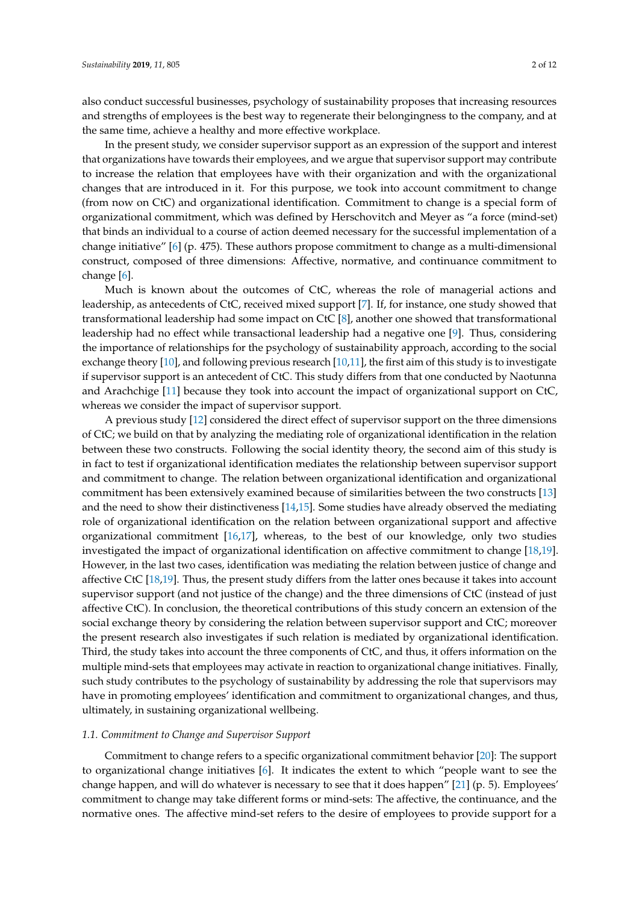also conduct successful businesses, psychology of sustainability proposes that increasing resources and strengths of employees is the best way to regenerate their belongingness to the company, and at the same time, achieve a healthy and more effective workplace.

In the present study, we consider supervisor support as an expression of the support and interest that organizations have towards their employees, and we argue that supervisor support may contribute to increase the relation that employees have with their organization and with the organizational changes that are introduced in it. For this purpose, we took into account commitment to change (from now on CtC) and organizational identification. Commitment to change is a special form of organizational commitment, which was defined by Herschovitch and Meyer as "a force (mind-set) that binds an individual to a course of action deemed necessary for the successful implementation of a change initiative" [\[6\]](#page-9-5) (p. 475). These authors propose commitment to change as a multi-dimensional construct, composed of three dimensions: Affective, normative, and continuance commitment to change [\[6\]](#page-9-5).

Much is known about the outcomes of CtC, whereas the role of managerial actions and leadership, as antecedents of CtC, received mixed support [\[7\]](#page-9-6). If, for instance, one study showed that transformational leadership had some impact on CtC [\[8\]](#page-9-7), another one showed that transformational leadership had no effect while transactional leadership had a negative one [\[9\]](#page-9-8). Thus, considering the importance of relationships for the psychology of sustainability approach, according to the social exchange theory [\[10\]](#page-9-9), and following previous research [\[10,](#page-9-9)[11\]](#page-10-0), the first aim of this study is to investigate if supervisor support is an antecedent of CtC. This study differs from that one conducted by Naotunna and Arachchige [\[11\]](#page-10-0) because they took into account the impact of organizational support on CtC, whereas we consider the impact of supervisor support.

A previous study [\[12\]](#page-10-1) considered the direct effect of supervisor support on the three dimensions of CtC; we build on that by analyzing the mediating role of organizational identification in the relation between these two constructs. Following the social identity theory, the second aim of this study is in fact to test if organizational identification mediates the relationship between supervisor support and commitment to change. The relation between organizational identification and organizational commitment has been extensively examined because of similarities between the two constructs [\[13\]](#page-10-2) and the need to show their distinctiveness [\[14,](#page-10-3)[15\]](#page-10-4). Some studies have already observed the mediating role of organizational identification on the relation between organizational support and affective organizational commitment [\[16](#page-10-5)[,17\]](#page-10-6), whereas, to the best of our knowledge, only two studies investigated the impact of organizational identification on affective commitment to change [\[18,](#page-10-7)[19\]](#page-10-8). However, in the last two cases, identification was mediating the relation between justice of change and affective CtC [\[18](#page-10-7)[,19\]](#page-10-8). Thus, the present study differs from the latter ones because it takes into account supervisor support (and not justice of the change) and the three dimensions of CtC (instead of just affective CtC). In conclusion, the theoretical contributions of this study concern an extension of the social exchange theory by considering the relation between supervisor support and CtC; moreover the present research also investigates if such relation is mediated by organizational identification. Third, the study takes into account the three components of CtC, and thus, it offers information on the multiple mind-sets that employees may activate in reaction to organizational change initiatives. Finally, such study contributes to the psychology of sustainability by addressing the role that supervisors may have in promoting employees' identification and commitment to organizational changes, and thus, ultimately, in sustaining organizational wellbeing.

## *1.1. Commitment to Change and Supervisor Support*

Commitment to change refers to a specific organizational commitment behavior [\[20\]](#page-10-9): The support to organizational change initiatives [\[6\]](#page-9-5). It indicates the extent to which "people want to see the change happen, and will do whatever is necessary to see that it does happen" [\[21\]](#page-10-10) (p. 5). Employees' commitment to change may take different forms or mind-sets: The affective, the continuance, and the normative ones. The affective mind-set refers to the desire of employees to provide support for a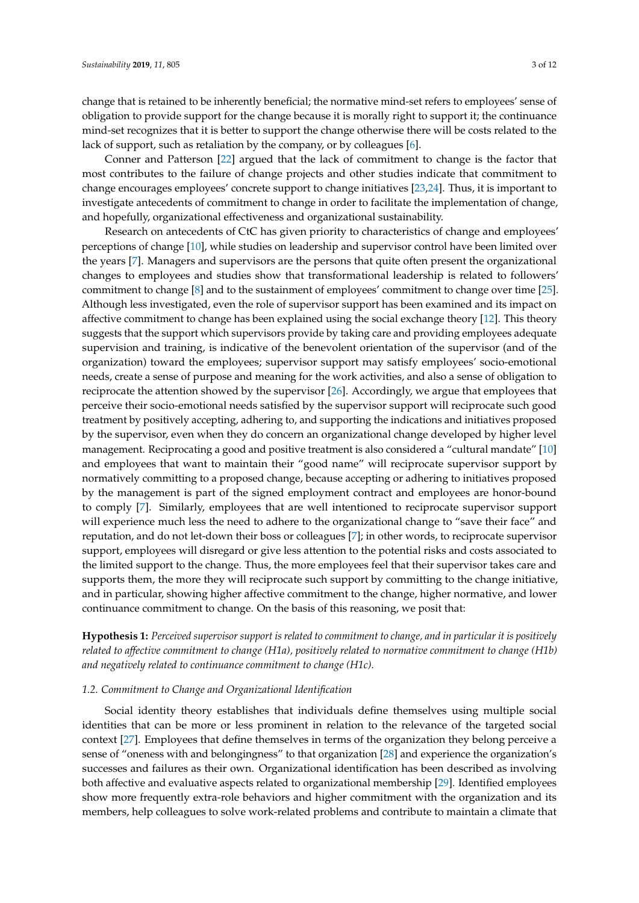change that is retained to be inherently beneficial; the normative mind-set refers to employees' sense of obligation to provide support for the change because it is morally right to support it; the continuance mind-set recognizes that it is better to support the change otherwise there will be costs related to the lack of support, such as retaliation by the company, or by colleagues [\[6\]](#page-9-5).

Conner and Patterson [\[22\]](#page-10-11) argued that the lack of commitment to change is the factor that most contributes to the failure of change projects and other studies indicate that commitment to change encourages employees' concrete support to change initiatives [\[23](#page-10-12)[,24\]](#page-10-13). Thus, it is important to investigate antecedents of commitment to change in order to facilitate the implementation of change, and hopefully, organizational effectiveness and organizational sustainability.

Research on antecedents of CtC has given priority to characteristics of change and employees' perceptions of change [\[10\]](#page-9-9), while studies on leadership and supervisor control have been limited over the years [\[7\]](#page-9-6). Managers and supervisors are the persons that quite often present the organizational changes to employees and studies show that transformational leadership is related to followers' commitment to change [\[8\]](#page-9-7) and to the sustainment of employees' commitment to change over time [\[25\]](#page-10-14). Although less investigated, even the role of supervisor support has been examined and its impact on affective commitment to change has been explained using the social exchange theory [\[12\]](#page-10-1). This theory suggests that the support which supervisors provide by taking care and providing employees adequate supervision and training, is indicative of the benevolent orientation of the supervisor (and of the organization) toward the employees; supervisor support may satisfy employees' socio-emotional needs, create a sense of purpose and meaning for the work activities, and also a sense of obligation to reciprocate the attention showed by the supervisor [\[26\]](#page-10-15). Accordingly, we argue that employees that perceive their socio-emotional needs satisfied by the supervisor support will reciprocate such good treatment by positively accepting, adhering to, and supporting the indications and initiatives proposed by the supervisor, even when they do concern an organizational change developed by higher level management. Reciprocating a good and positive treatment is also considered a "cultural mandate" [\[10\]](#page-9-9) and employees that want to maintain their "good name" will reciprocate supervisor support by normatively committing to a proposed change, because accepting or adhering to initiatives proposed by the management is part of the signed employment contract and employees are honor-bound to comply [\[7\]](#page-9-6). Similarly, employees that are well intentioned to reciprocate supervisor support will experience much less the need to adhere to the organizational change to "save their face" and reputation, and do not let-down their boss or colleagues [\[7\]](#page-9-6); in other words, to reciprocate supervisor support, employees will disregard or give less attention to the potential risks and costs associated to the limited support to the change. Thus, the more employees feel that their supervisor takes care and supports them, the more they will reciprocate such support by committing to the change initiative, and in particular, showing higher affective commitment to the change, higher normative, and lower continuance commitment to change. On the basis of this reasoning, we posit that:

**Hypothesis 1:** *Perceived supervisor support is related to commitment to change, and in particular it is positively related to affective commitment to change (H1a), positively related to normative commitment to change (H1b) and negatively related to continuance commitment to change (H1c).*

#### *1.2. Commitment to Change and Organizational Identification*

Social identity theory establishes that individuals define themselves using multiple social identities that can be more or less prominent in relation to the relevance of the targeted social context [\[27\]](#page-10-16). Employees that define themselves in terms of the organization they belong perceive a sense of "oneness with and belongingness" to that organization [\[28\]](#page-10-17) and experience the organization's successes and failures as their own. Organizational identification has been described as involving both affective and evaluative aspects related to organizational membership [\[29\]](#page-10-18). Identified employees show more frequently extra-role behaviors and higher commitment with the organization and its members, help colleagues to solve work-related problems and contribute to maintain a climate that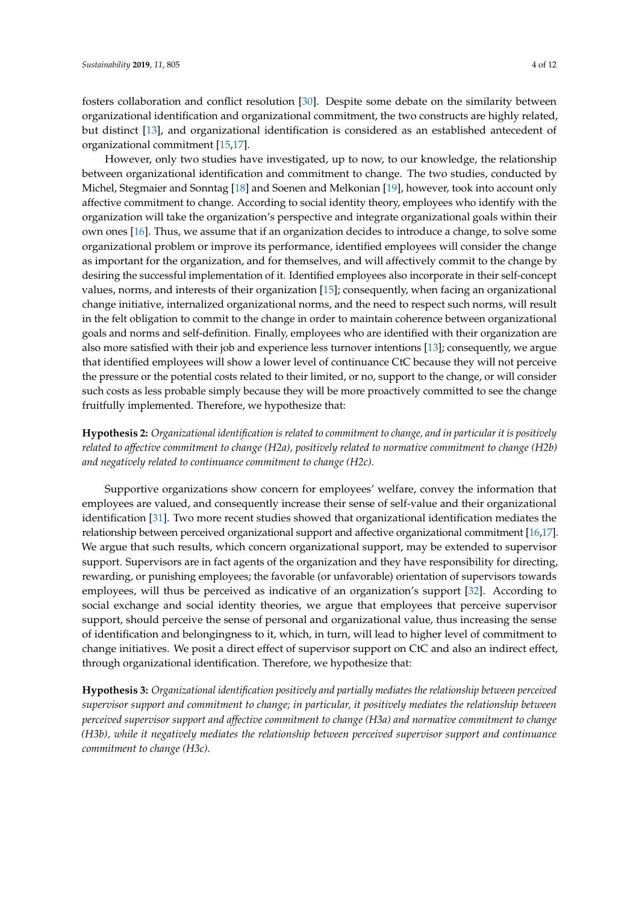fosters collaboration and conflict resolution [\[30\]](#page-10-19). Despite some debate on the similarity between organizational identification and organizational commitment, the two constructs are highly related, but distinct [\[13\]](#page-10-2), and organizational identification is considered as an established antecedent of organizational commitment [\[15,](#page-10-4)[17\]](#page-10-6).

However, only two studies have investigated, up to now, to our knowledge, the relationship between organizational identification and commitment to change. The two studies, conducted by Michel, Stegmaier and Sonntag [\[18\]](#page-10-7) and Soenen and Melkonian [\[19\]](#page-10-8), however, took into account only affective commitment to change. According to social identity theory, employees who identify with the organization will take the organization's perspective and integrate organizational goals within their own ones [\[16\]](#page-10-5). Thus, we assume that if an organization decides to introduce a change, to solve some organizational problem or improve its performance, identified employees will consider the change as important for the organization, and for themselves, and will affectively commit to the change by desiring the successful implementation of it. Identified employees also incorporate in their self-concept values, norms, and interests of their organization [\[15\]](#page-10-4); consequently, when facing an organizational change initiative, internalized organizational norms, and the need to respect such norms, will result in the felt obligation to commit to the change in order to maintain coherence between organizational goals and norms and self-definition. Finally, employees who are identified with their organization are also more satisfied with their job and experience less turnover intentions [\[13\]](#page-10-2); consequently, we argue that identified employees will show a lower level of continuance CtC because they will not perceive the pressure or the potential costs related to their limited, or no, support to the change, or will consider such costs as less probable simply because they will be more proactively committed to see the change fruitfully implemented. Therefore, we hypothesize that:

**Hypothesis 2:** *Organizational identification is related to commitment to change, and in particular it is positively related to affective commitment to change (H2a), positively related to normative commitment to change (H2b) and negatively related to continuance commitment to change (H2c).*

Supportive organizations show concern for employees' welfare, convey the information that employees are valued, and consequently increase their sense of self-value and their organizational identification [\[31\]](#page-10-20). Two more recent studies showed that organizational identification mediates the relationship between perceived organizational support and affective organizational commitment [\[16](#page-10-5)[,17\]](#page-10-6). We argue that such results, which concern organizational support, may be extended to supervisor support. Supervisors are in fact agents of the organization and they have responsibility for directing, rewarding, or punishing employees; the favorable (or unfavorable) orientation of supervisors towards employees, will thus be perceived as indicative of an organization's support [\[32\]](#page-10-21). According to social exchange and social identity theories, we argue that employees that perceive supervisor support, should perceive the sense of personal and organizational value, thus increasing the sense of identification and belongingness to it, which, in turn, will lead to higher level of commitment to change initiatives. We posit a direct effect of supervisor support on CtC and also an indirect effect, through organizational identification. Therefore, we hypothesize that:

**Hypothesis 3:** *Organizational identification positively and partially mediates the relationship between perceived supervisor support and commitment to change; in particular, it positively mediates the relationship between perceived supervisor support and affective commitment to change (H3a) and normative commitment to change (H3b), while it negatively mediates the relationship between perceived supervisor support and continuance commitment to change (H3c).*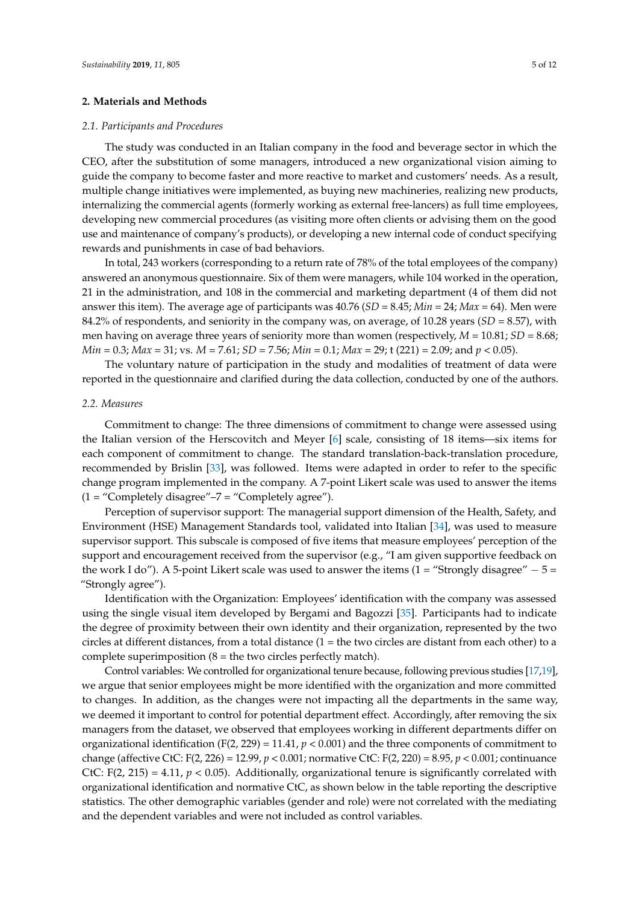#### **2. Materials and Methods**

#### *2.1. Participants and Procedures*

The study was conducted in an Italian company in the food and beverage sector in which the CEO, after the substitution of some managers, introduced a new organizational vision aiming to guide the company to become faster and more reactive to market and customers' needs. As a result, multiple change initiatives were implemented, as buying new machineries, realizing new products, internalizing the commercial agents (formerly working as external free-lancers) as full time employees, developing new commercial procedures (as visiting more often clients or advising them on the good use and maintenance of company's products), or developing a new internal code of conduct specifying rewards and punishments in case of bad behaviors.

In total, 243 workers (corresponding to a return rate of 78% of the total employees of the company) answered an anonymous questionnaire. Six of them were managers, while 104 worked in the operation, 21 in the administration, and 108 in the commercial and marketing department (4 of them did not answer this item). The average age of participants was 40.76 (*SD* = 8.45; *Min* = 24; *Max* = 64). Men were 84.2% of respondents, and seniority in the company was, on average, of 10.28 years (*SD* = 8.57), with men having on average three years of seniority more than women (respectively, *M* = 10.81; *SD* = 8.68; *Min* = 0.3; *Max* = 31; vs. *M* = 7.61; *SD* = 7.56; *Min* = 0.1; *Max* = 29; t (221) = 2.09; and *p* < 0.05).

The voluntary nature of participation in the study and modalities of treatment of data were reported in the questionnaire and clarified during the data collection, conducted by one of the authors.

#### *2.2. Measures*

Commitment to change: The three dimensions of commitment to change were assessed using the Italian version of the Herscovitch and Meyer [\[6\]](#page-9-5) scale, consisting of 18 items—six items for each component of commitment to change. The standard translation-back-translation procedure, recommended by Brislin [\[33\]](#page-10-22), was followed. Items were adapted in order to refer to the specific change program implemented in the company. A 7-point Likert scale was used to answer the items  $(1 = "Complexedy disagree" – 7 = "Complexedy agree").$ 

Perception of supervisor support: The managerial support dimension of the Health, Safety, and Environment (HSE) Management Standards tool, validated into Italian [\[34\]](#page-11-0), was used to measure supervisor support. This subscale is composed of five items that measure employees' perception of the support and encouragement received from the supervisor (e.g., "I am given supportive feedback on the work I do"). A 5-point Likert scale was used to answer the items (1 = "Strongly disagree"  $-5 =$ "Strongly agree").

Identification with the Organization: Employees' identification with the company was assessed using the single visual item developed by Bergami and Bagozzi [\[35\]](#page-11-1). Participants had to indicate the degree of proximity between their own identity and their organization, represented by the two circles at different distances, from a total distance  $(1 =$  the two circles are distant from each other) to a complete superimposition  $(8 =$  the two circles perfectly match).

Control variables: We controlled for organizational tenure because, following previous studies [\[17](#page-10-6)[,19\]](#page-10-8), we argue that senior employees might be more identified with the organization and more committed to changes. In addition, as the changes were not impacting all the departments in the same way, we deemed it important to control for potential department effect. Accordingly, after removing the six managers from the dataset, we observed that employees working in different departments differ on organizational identification (F(2, 229) = 11.41,  $p < 0.001$ ) and the three components of commitment to change (affective CtC: F(2, 226) = 12.99, *p* < 0.001; normative CtC: F(2, 220) = 8.95, *p* < 0.001; continuance CtC:  $F(2, 215) = 4.11$ ,  $p < 0.05$ ). Additionally, organizational tenure is significantly correlated with organizational identification and normative CtC, as shown below in the table reporting the descriptive statistics. The other demographic variables (gender and role) were not correlated with the mediating and the dependent variables and were not included as control variables.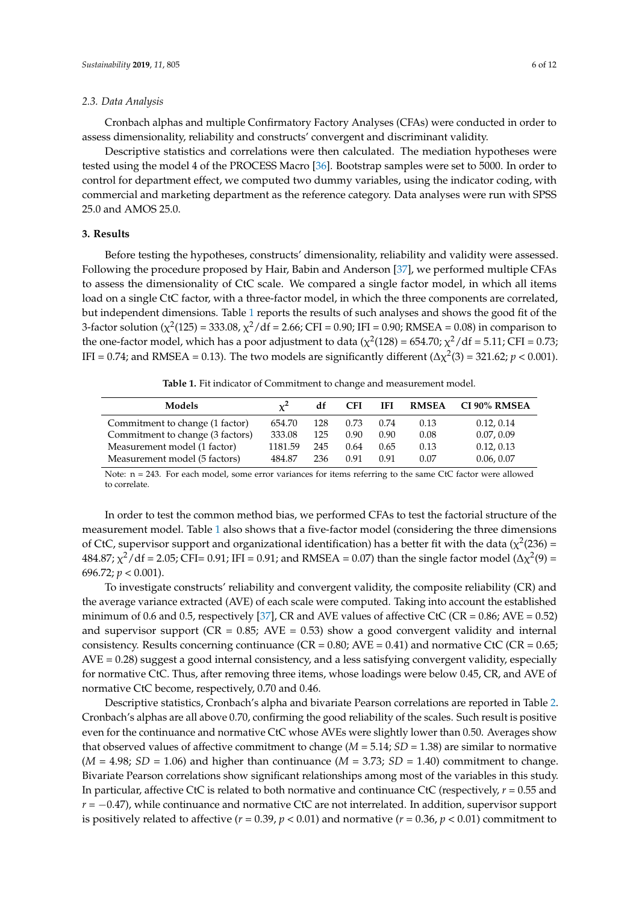#### *2.3. Data Analysis*

Cronbach alphas and multiple Confirmatory Factory Analyses (CFAs) were conducted in order to assess dimensionality, reliability and constructs' convergent and discriminant validity.

Descriptive statistics and correlations were then calculated. The mediation hypotheses were tested using the model 4 of the PROCESS Macro [\[36\]](#page-11-2). Bootstrap samples were set to 5000. In order to control for department effect, we computed two dummy variables, using the indicator coding, with commercial and marketing department as the reference category. Data analyses were run with SPSS 25.0 and AMOS 25.0.

#### **3. Results**

Before testing the hypotheses, constructs' dimensionality, reliability and validity were assessed. Following the procedure proposed by Hair, Babin and Anderson [\[37\]](#page-11-3), we performed multiple CFAs to assess the dimensionality of CtC scale. We compared a single factor model, in which all items load on a single CtC factor, with a three-factor model, in which the three components are correlated, but independent dimensions. Table [1](#page-5-0) reports the results of such analyses and shows the good fit of the 3-factor solution ( $\chi^2(125) = 333.08$ ,  $\chi^2/df = 2.66$ ; CFI = 0.90; IFI = 0.90; RMSEA = 0.08) in comparison to the one-factor model, which has a poor adjustment to data ( $\chi^2(128) = 654.70$ ;  $\chi^2/\text{df} = 5.11$ ; CFI = 0.73; IFI = 0.74; and RMSEA = 0.13). The two models are significantly different ( $\Delta \chi^2(3)$  = 321.62; *p* < 0.001).

**Table 1.** Fit indicator of Commitment to change and measurement model.

<span id="page-5-0"></span>

| Models                           | $x^2$   | df  | <b>CFI</b> | <b>IFI</b> | <b>RMSEA</b> | CI 90% RMSEA |
|----------------------------------|---------|-----|------------|------------|--------------|--------------|
| Commitment to change (1 factor)  | 654.70  | 128 | 0.73       | 0.74       | 0.13         | 0.12, 0.14   |
| Commitment to change (3 factors) | 333.08  | 125 | 0.90       | 0.90       | 0.08         | 0.07, 0.09   |
| Measurement model (1 factor)     | 1181.59 | 245 | 0.64       | 0.65       | 0.13         | 0.12, 0.13   |
| Measurement model (5 factors)    | 484.87  | 236 | 0.91       | 0.91       | 0.07         | 0.06, 0.07   |

Note: n = 243. For each model, some error variances for items referring to the same CtC factor were allowed to correlate.

In order to test the common method bias, we performed CFAs to test the factorial structure of the measurement model. Table [1](#page-5-0) also shows that a five-factor model (considering the three dimensions of CtC, supervisor support and organizational identification) has a better fit with the data ( $\chi^2(236)$  = 484.87;  $\chi^2$ /df = 2.05; CFI= 0.91; IFI = 0.91; and RMSEA = 0.07) than the single factor model (Δ $\chi^2(9)$  = 696.72; *p* < 0.001).

To investigate constructs' reliability and convergent validity, the composite reliability (CR) and the average variance extracted (AVE) of each scale were computed. Taking into account the established minimum of 0.6 and 0.5, respectively [\[37\]](#page-11-3), CR and AVE values of affective CtC (CR =  $0.86$ ; AVE =  $0.52$ ) and supervisor support ( $CR = 0.85$ ;  $AVE = 0.53$ ) show a good convergent validity and internal consistency. Results concerning continuance ( $CR = 0.80$ ;  $AVE = 0.41$ ) and normative CtC ( $CR = 0.65$ ; AVE = 0.28) suggest a good internal consistency, and a less satisfying convergent validity, especially for normative CtC. Thus, after removing three items, whose loadings were below 0.45, CR, and AVE of normative CtC become, respectively, 0.70 and 0.46.

Descriptive statistics, Cronbach's alpha and bivariate Pearson correlations are reported in Table [2.](#page-6-0) Cronbach's alphas are all above 0.70, confirming the good reliability of the scales. Such result is positive even for the continuance and normative CtC whose AVEs were slightly lower than 0.50. Averages show that observed values of affective commitment to change (*M* = 5.14; *SD* = 1.38) are similar to normative  $(M = 4.98; SD = 1.06)$  and higher than continuance  $(M = 3.73; SD = 1.40)$  commitment to change. Bivariate Pearson correlations show significant relationships among most of the variables in this study. In particular, affective CtC is related to both normative and continuance CtC (respectively, *r* = 0.55 and *r* = −0.47), while continuance and normative CtC are not interrelated. In addition, supervisor support is positively related to affective ( $r = 0.39$ ,  $p < 0.01$ ) and normative ( $r = 0.36$ ,  $p < 0.01$ ) commitment to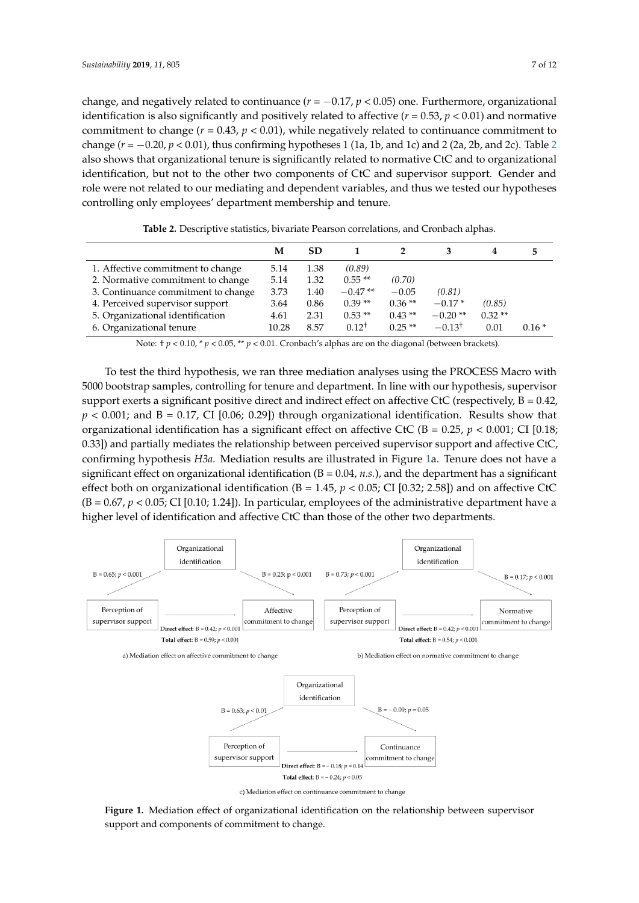change, and negatively related to continuance  $(r = -0.17, p < 0.05)$  one. Furthermore, organizational identification is also significantly and positively related to affective  $(r = 0.53, p < 0.01)$  and normative commitment to change  $(r = 0.43, p < 0.01)$ , while negatively related to continuance commitment to change (*r* = −0.20, *p* < 0.01), thus confirming hypotheses 1 (1a, 1b, and 1c) and 2 (2a, 2b, and 2c). Table [2](#page-6-0) also shows that organizational tenure is significantly related to normative CtC and to organizational identification, but not to the other two components of CtC and supervisor support. Gender and role were not related to our mediating and dependent variables, and thus we tested our hypotheses controlling only employees' department membership and tenure.

<span id="page-6-0"></span>

|                                     | M     | <b>SD</b> |            |          |                   | 4        | 5.      |
|-------------------------------------|-------|-----------|------------|----------|-------------------|----------|---------|
| 1. Affective commitment to change   | 5.14  | 1.38      | (0.89)     |          |                   |          |         |
| 2. Normative commitment to change   | 5.14  | 1.32      | $0.55**$   | (0.70)   |                   |          |         |
| 3. Continuance commitment to change | 3.73  | 1.40      | $-0.47**$  | $-0.05$  | (0.81)            |          |         |
| 4. Perceived supervisor support     | 3.64  | 0.86      | $0.39**$   | $0.36**$ | $-0.17*$          | (0.85)   |         |
| 5. Organizational identification    | 4.61  | 2.31      | $0.53**$   | $0.43**$ | $-0.20**$         | $0.32**$ |         |
| 6. Organizational tenure            | 10.28 | 8.57      | $0.12^{+}$ | $0.25**$ | $-0.13^{\dagger}$ | 0.01     | $0.16*$ |

**Table 2.** Descriptive statistics, bivariate Pearson correlations, and Cronbach alphas.

Note:  $\pm p < 0.10$ ,  $\pm p < 0.05$ ,  $\pm \pm p < 0.01$ . Cronbach's alphas are on the diagonal (between brackets).

To test the third hypothesis, we ran three mediation analyses using the PROCESS Macro with 5000 bootstrap samples, controlling for tenure and department. In line with our hypothesis, supervisor support exerts a significant positive direct and indirect effect on affective CtC (respectively,  $B = 0.42$ ,  $p < 0.001$ ; and B = 0.17, CI [0.06; 0.29]) through organizational identification. Results show that organizational identification has a significant effect on affective CtC ( $B = 0.25$ ,  $p < 0.001$ ; CI [0.18; 0.33]) and partially mediates the relationship between perceived supervisor support and affective CtC, confirming hypothesis *H3a.* Mediation results are illustrated in Figure [1a](#page-6-1). Tenure does not have a significant effect on organizational identification  $(B = 0.04, n.s.)$ , and the department has a significant effect both on organizational identification ( $B = 1.45$ ,  $p < 0.05$ ; CI [0.32; 2.58]) and on affective CtC  $(B = 0.67, p < 0.05; C1$  [0.10; 1.24]). In particular, employees of the administrative department have a higher level of identification and affective CtC than those of the other two departments.

<span id="page-6-1"></span>

**Figure 1.** Mediation effect of organizational identification on the relationship between supervisor support and components of commitment to change.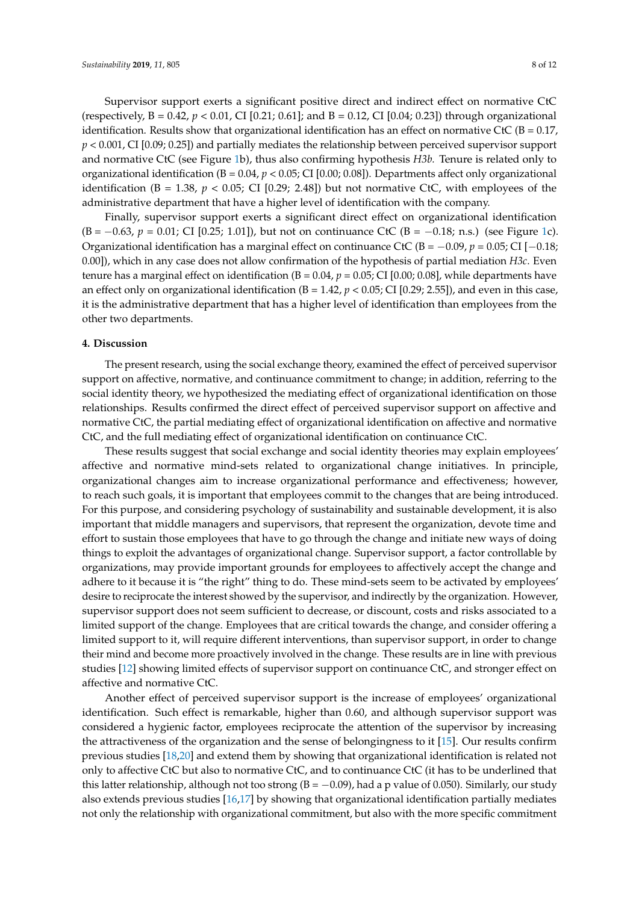Supervisor support exerts a significant positive direct and indirect effect on normative CtC (respectively, B = 0.42, *p* < 0.01, CI [0.21; 0.61]; and B = 0.12, CI [0.04; 0.23]) through organizational identification. Results show that organizational identification has an effect on normative CtC ( $B = 0.17$ , *p* < 0.001, CI [0.09; 0.25]) and partially mediates the relationship between perceived supervisor support and normative CtC (see Figure [1b](#page-6-1)), thus also confirming hypothesis *H3b.* Tenure is related only to organizational identification (B = 0.04, *p* < 0.05; CI [0.00; 0.08]). Departments affect only organizational identification ( $B = 1.38$ ,  $p < 0.05$ ; CI [0.29; 2.48]) but not normative CtC, with employees of the administrative department that have a higher level of identification with the company.

Finally, supervisor support exerts a significant direct effect on organizational identification (B = −0.63, *p* = 0.01; CI [0.25; 1.01]), but not on continuance CtC (B = −0.18; n.s.) (see Figure [1c](#page-6-1)). Organizational identification has a marginal effect on continuance CtC (B = −0.09, *p* = 0.05; CI [−0.18; 0.00]), which in any case does not allow confirmation of the hypothesis of partial mediation *H3c*. Even tenure has a marginal effect on identification ( $B = 0.04$ ,  $p = 0.05$ ; CI [0.00; 0.08], while departments have an effect only on organizational identification ( $B = 1.42$ ,  $p < 0.05$ ; CI [0.29; 2.55]), and even in this case, it is the administrative department that has a higher level of identification than employees from the other two departments.

#### **4. Discussion**

The present research, using the social exchange theory, examined the effect of perceived supervisor support on affective, normative, and continuance commitment to change; in addition, referring to the social identity theory, we hypothesized the mediating effect of organizational identification on those relationships. Results confirmed the direct effect of perceived supervisor support on affective and normative CtC, the partial mediating effect of organizational identification on affective and normative CtC, and the full mediating effect of organizational identification on continuance CtC.

These results suggest that social exchange and social identity theories may explain employees' affective and normative mind-sets related to organizational change initiatives. In principle, organizational changes aim to increase organizational performance and effectiveness; however, to reach such goals, it is important that employees commit to the changes that are being introduced. For this purpose, and considering psychology of sustainability and sustainable development, it is also important that middle managers and supervisors, that represent the organization, devote time and effort to sustain those employees that have to go through the change and initiate new ways of doing things to exploit the advantages of organizational change. Supervisor support, a factor controllable by organizations, may provide important grounds for employees to affectively accept the change and adhere to it because it is "the right" thing to do. These mind-sets seem to be activated by employees' desire to reciprocate the interest showed by the supervisor, and indirectly by the organization. However, supervisor support does not seem sufficient to decrease, or discount, costs and risks associated to a limited support of the change. Employees that are critical towards the change, and consider offering a limited support to it, will require different interventions, than supervisor support, in order to change their mind and become more proactively involved in the change. These results are in line with previous studies [\[12\]](#page-10-1) showing limited effects of supervisor support on continuance CtC, and stronger effect on affective and normative CtC.

Another effect of perceived supervisor support is the increase of employees' organizational identification. Such effect is remarkable, higher than 0.60, and although supervisor support was considered a hygienic factor, employees reciprocate the attention of the supervisor by increasing the attractiveness of the organization and the sense of belongingness to it [\[15\]](#page-10-4). Our results confirm previous studies [\[18](#page-10-7)[,20\]](#page-10-9) and extend them by showing that organizational identification is related not only to affective CtC but also to normative CtC, and to continuance CtC (it has to be underlined that this latter relationship, although not too strong ( $B = -0.09$ ), had a p value of 0.050). Similarly, our study also extends previous studies [\[16,](#page-10-5)[17\]](#page-10-6) by showing that organizational identification partially mediates not only the relationship with organizational commitment, but also with the more specific commitment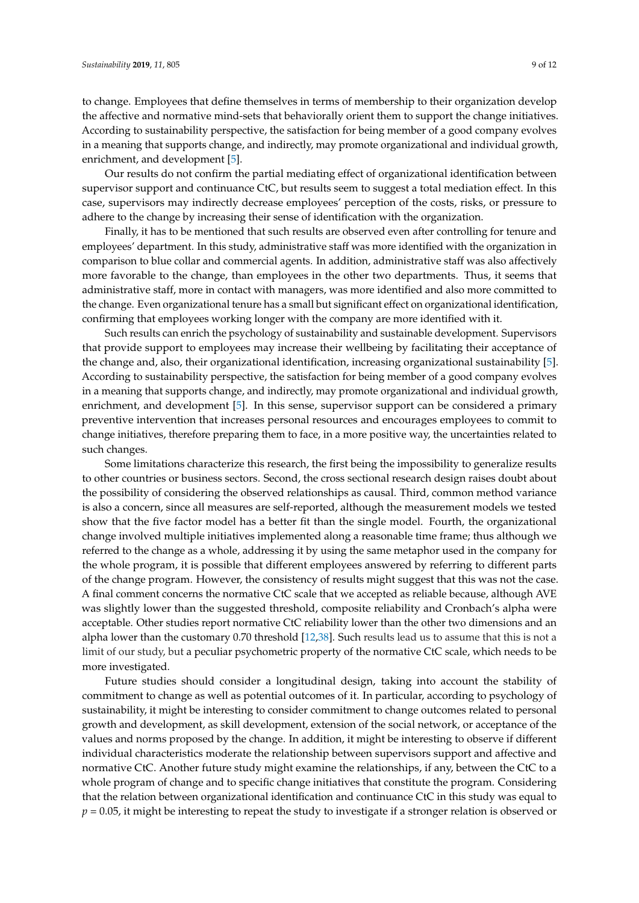to change. Employees that define themselves in terms of membership to their organization develop the affective and normative mind-sets that behaviorally orient them to support the change initiatives. According to sustainability perspective, the satisfaction for being member of a good company evolves in a meaning that supports change, and indirectly, may promote organizational and individual growth, enrichment, and development [\[5\]](#page-9-4).

Our results do not confirm the partial mediating effect of organizational identification between supervisor support and continuance CtC, but results seem to suggest a total mediation effect. In this case, supervisors may indirectly decrease employees' perception of the costs, risks, or pressure to adhere to the change by increasing their sense of identification with the organization.

Finally, it has to be mentioned that such results are observed even after controlling for tenure and employees' department. In this study, administrative staff was more identified with the organization in comparison to blue collar and commercial agents. In addition, administrative staff was also affectively more favorable to the change, than employees in the other two departments. Thus, it seems that administrative staff, more in contact with managers, was more identified and also more committed to the change. Even organizational tenure has a small but significant effect on organizational identification, confirming that employees working longer with the company are more identified with it.

Such results can enrich the psychology of sustainability and sustainable development. Supervisors that provide support to employees may increase their wellbeing by facilitating their acceptance of the change and, also, their organizational identification, increasing organizational sustainability [\[5\]](#page-9-4). According to sustainability perspective, the satisfaction for being member of a good company evolves in a meaning that supports change, and indirectly, may promote organizational and individual growth, enrichment, and development [\[5\]](#page-9-4). In this sense, supervisor support can be considered a primary preventive intervention that increases personal resources and encourages employees to commit to change initiatives, therefore preparing them to face, in a more positive way, the uncertainties related to such changes.

Some limitations characterize this research, the first being the impossibility to generalize results to other countries or business sectors. Second, the cross sectional research design raises doubt about the possibility of considering the observed relationships as causal. Third, common method variance is also a concern, since all measures are self-reported, although the measurement models we tested show that the five factor model has a better fit than the single model. Fourth, the organizational change involved multiple initiatives implemented along a reasonable time frame; thus although we referred to the change as a whole, addressing it by using the same metaphor used in the company for the whole program, it is possible that different employees answered by referring to different parts of the change program. However, the consistency of results might suggest that this was not the case. A final comment concerns the normative CtC scale that we accepted as reliable because, although AVE was slightly lower than the suggested threshold, composite reliability and Cronbach's alpha were acceptable. Other studies report normative CtC reliability lower than the other two dimensions and an alpha lower than the customary 0.70 threshold [\[12,](#page-10-1)[38\]](#page-11-4). Such results lead us to assume that this is not a limit of our study, but a peculiar psychometric property of the normative CtC scale, which needs to be more investigated.

Future studies should consider a longitudinal design, taking into account the stability of commitment to change as well as potential outcomes of it. In particular, according to psychology of sustainability, it might be interesting to consider commitment to change outcomes related to personal growth and development, as skill development, extension of the social network, or acceptance of the values and norms proposed by the change. In addition, it might be interesting to observe if different individual characteristics moderate the relationship between supervisors support and affective and normative CtC. Another future study might examine the relationships, if any, between the CtC to a whole program of change and to specific change initiatives that constitute the program. Considering that the relation between organizational identification and continuance CtC in this study was equal to *p* = 0.05, it might be interesting to repeat the study to investigate if a stronger relation is observed or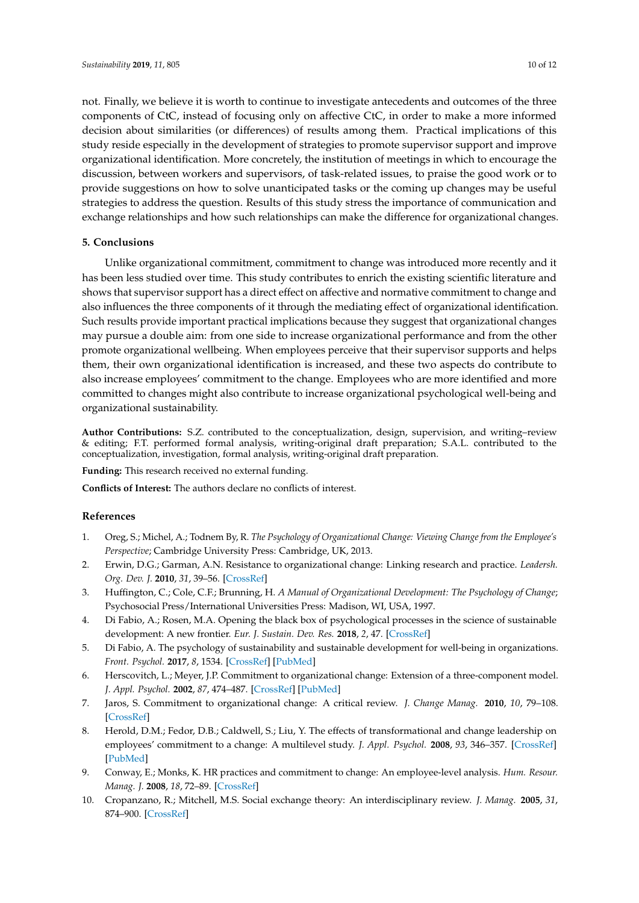not. Finally, we believe it is worth to continue to investigate antecedents and outcomes of the three components of CtC, instead of focusing only on affective CtC, in order to make a more informed decision about similarities (or differences) of results among them. Practical implications of this study reside especially in the development of strategies to promote supervisor support and improve organizational identification. More concretely, the institution of meetings in which to encourage the discussion, between workers and supervisors, of task-related issues, to praise the good work or to provide suggestions on how to solve unanticipated tasks or the coming up changes may be useful strategies to address the question. Results of this study stress the importance of communication and exchange relationships and how such relationships can make the difference for organizational changes.

#### **5. Conclusions**

Unlike organizational commitment, commitment to change was introduced more recently and it has been less studied over time. This study contributes to enrich the existing scientific literature and shows that supervisor support has a direct effect on affective and normative commitment to change and also influences the three components of it through the mediating effect of organizational identification. Such results provide important practical implications because they suggest that organizational changes may pursue a double aim: from one side to increase organizational performance and from the other promote organizational wellbeing. When employees perceive that their supervisor supports and helps them, their own organizational identification is increased, and these two aspects do contribute to also increase employees' commitment to the change. Employees who are more identified and more committed to changes might also contribute to increase organizational psychological well-being and organizational sustainability.

**Author Contributions:** S.Z. contributed to the conceptualization, design, supervision, and writing–review & editing; F.T. performed formal analysis, writing-original draft preparation; S.A.L. contributed to the conceptualization, investigation, formal analysis, writing-original draft preparation.

**Funding:** This research received no external funding.

**Conflicts of Interest:** The authors declare no conflicts of interest.

## **References**

- <span id="page-9-0"></span>1. Oreg, S.; Michel, A.; Todnem By, R. *The Psychology of Organizational Change: Viewing Change from the Employee's Perspective*; Cambridge University Press: Cambridge, UK, 2013.
- <span id="page-9-1"></span>2. Erwin, D.G.; Garman, A.N. Resistance to organizational change: Linking research and practice. *Leadersh. Org. Dev. J.* **2010**, *31*, 39–56. [\[CrossRef\]](http://dx.doi.org/10.1108/01437731011010371)
- <span id="page-9-2"></span>3. Huffington, C.; Cole, C.F.; Brunning, H. *A Manual of Organizational Development: The Psychology of Change*; Psychosocial Press/International Universities Press: Madison, WI, USA, 1997.
- <span id="page-9-3"></span>4. Di Fabio, A.; Rosen, M.A. Opening the black box of psychological processes in the science of sustainable development: A new frontier. *Eur. J. Sustain. Dev. Res.* **2018**, *2*, 47. [\[CrossRef\]](http://dx.doi.org/10.20897/ejosdr/3933)
- <span id="page-9-4"></span>5. Di Fabio, A. The psychology of sustainability and sustainable development for well-being in organizations. *Front. Psychol.* **2017**, *8*, 1534. [\[CrossRef\]](http://dx.doi.org/10.3389/fpsyg.2017.01534) [\[PubMed\]](http://www.ncbi.nlm.nih.gov/pubmed/28974935)
- <span id="page-9-5"></span>6. Herscovitch, L.; Meyer, J.P. Commitment to organizational change: Extension of a three-component model. *J. Appl. Psychol.* **2002**, *87*, 474–487. [\[CrossRef\]](http://dx.doi.org/10.1037/0021-9010.87.3.474) [\[PubMed\]](http://www.ncbi.nlm.nih.gov/pubmed/12090605)
- <span id="page-9-6"></span>7. Jaros, S. Commitment to organizational change: A critical review. *J. Change Manag.* **2010**, *10*, 79–108. [\[CrossRef\]](http://dx.doi.org/10.1080/14697010903549457)
- <span id="page-9-7"></span>8. Herold, D.M.; Fedor, D.B.; Caldwell, S.; Liu, Y. The effects of transformational and change leadership on employees' commitment to a change: A multilevel study. *J. Appl. Psychol.* **2008**, *93*, 346–357. [\[CrossRef\]](http://dx.doi.org/10.1037/0021-9010.93.2.346) [\[PubMed\]](http://www.ncbi.nlm.nih.gov/pubmed/18361637)
- <span id="page-9-8"></span>9. Conway, E.; Monks, K. HR practices and commitment to change: An employee-level analysis. *Hum. Resour. Manag. J.* **2008**, *18*, 72–89. [\[CrossRef\]](http://dx.doi.org/10.1111/j.1748-8583.2007.00059.x)
- <span id="page-9-9"></span>10. Cropanzano, R.; Mitchell, M.S. Social exchange theory: An interdisciplinary review. *J. Manag.* **2005**, *31*, 874–900. [\[CrossRef\]](http://dx.doi.org/10.1177/0149206305279602)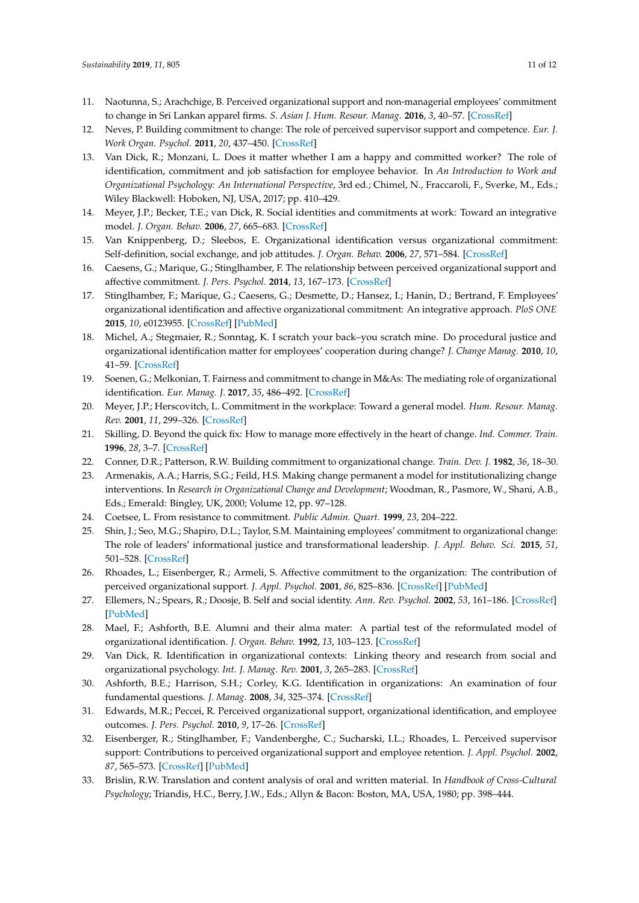- <span id="page-10-0"></span>11. Naotunna, S.; Arachchige, B. Perceived organizational support and non-managerial employees' commitment to change in Sri Lankan apparel firms. *S. Asian J. Hum. Resour. Manag.* **2016**, *3*, 40–57. [\[CrossRef\]](http://dx.doi.org/10.1177/2322093716637167)
- <span id="page-10-1"></span>12. Neves, P. Building commitment to change: The role of perceived supervisor support and competence. *Eur. J. Work Organ. Psychol.* **2011**, *20*, 437–450. [\[CrossRef\]](http://dx.doi.org/10.1080/13594321003630089)
- <span id="page-10-2"></span>13. Van Dick, R.; Monzani, L. Does it matter whether I am a happy and committed worker? The role of identification, commitment and job satisfaction for employee behavior. In *An Introduction to Work and Organizational Psychology: An International Perspective*, 3rd ed.; Chimel, N., Fraccaroli, F., Sverke, M., Eds.; Wiley Blackwell: Hoboken, NJ, USA, 2017; pp. 410–429.
- <span id="page-10-3"></span>14. Meyer, J.P.; Becker, T.E.; van Dick, R. Social identities and commitments at work: Toward an integrative model. *J. Organ. Behav.* **2006**, *27*, 665–683. [\[CrossRef\]](http://dx.doi.org/10.1002/job.383)
- <span id="page-10-4"></span>15. Van Knippenberg, D.; Sleebos, E. Organizational identification versus organizational commitment: Self-definition, social exchange, and job attitudes. *J. Organ. Behav.* **2006**, *27*, 571–584. [\[CrossRef\]](http://dx.doi.org/10.1002/job.359)
- <span id="page-10-5"></span>16. Caesens, G.; Marique, G.; Stinglhamber, F. The relationship between perceived organizational support and affective commitment. *J. Pers. Psychol.* **2014**, *13*, 167–173. [\[CrossRef\]](http://dx.doi.org/10.1027/1866-5888/a000112)
- <span id="page-10-6"></span>17. Stinglhamber, F.; Marique, G.; Caesens, G.; Desmette, D.; Hansez, I.; Hanin, D.; Bertrand, F. Employees' organizational identification and affective organizational commitment: An integrative approach. *PloS ONE* **2015**, *10*, e0123955. [\[CrossRef\]](http://dx.doi.org/10.1371/journal.pone.0123955) [\[PubMed\]](http://www.ncbi.nlm.nih.gov/pubmed/25875086)
- <span id="page-10-7"></span>18. Michel, A.; Stegmaier, R.; Sonntag, K. I scratch your back–you scratch mine. Do procedural justice and organizational identification matter for employees' cooperation during change? *J. Change Manag.* **2010**, *10*, 41–59. [\[CrossRef\]](http://dx.doi.org/10.1080/14697010903549432)
- <span id="page-10-8"></span>19. Soenen, G.; Melkonian, T. Fairness and commitment to change in M&As: The mediating role of organizational identification. *Eur. Manag. J.* **2017**, *35*, 486–492. [\[CrossRef\]](http://dx.doi.org/10.1016/j.emj.2016.10.005)
- <span id="page-10-9"></span>20. Meyer, J.P.; Herscovitch, L. Commitment in the workplace: Toward a general model. *Hum. Resour. Manag. Rev.* **2001**, *11*, 299–326. [\[CrossRef\]](http://dx.doi.org/10.1016/S1053-4822(00)00053-X)
- <span id="page-10-10"></span>21. Skilling, D. Beyond the quick fix: How to manage more effectively in the heart of change. *Ind. Commer. Train.* **1996**, *28*, 3–7. [\[CrossRef\]](http://dx.doi.org/10.1108/00197859610120056)
- <span id="page-10-11"></span>22. Conner, D.R.; Patterson, R.W. Building commitment to organizational change. *Train. Dev. J.* **1982**, *36*, 18–30.
- <span id="page-10-12"></span>23. Armenakis, A.A.; Harris, S.G.; Feild, H.S. Making change permanent a model for institutionalizing change interventions. In *Research in Organizational Change and Development*; Woodman, R., Pasmore, W., Shani, A.B., Eds.; Emerald: Bingley, UK, 2000; Volume 12, pp. 97–128.
- <span id="page-10-13"></span>24. Coetsee, L. From resistance to commitment. *Public Admin. Quart.* **1999**, *23*, 204–222.
- <span id="page-10-14"></span>25. Shin, J.; Seo, M.G.; Shapiro, D.L.; Taylor, S.M. Maintaining employees' commitment to organizational change: The role of leaders' informational justice and transformational leadership. *J. Appl. Behav. Sci.* **2015**, *51*, 501–528. [\[CrossRef\]](http://dx.doi.org/10.1177/0021886315603123)
- <span id="page-10-15"></span>26. Rhoades, L.; Eisenberger, R.; Armeli, S. Affective commitment to the organization: The contribution of perceived organizational support. *J. Appl. Psychol.* **2001**, *86*, 825–836. [\[CrossRef\]](http://dx.doi.org/10.1037/0021-9010.86.5.825) [\[PubMed\]](http://www.ncbi.nlm.nih.gov/pubmed/11596800)
- <span id="page-10-16"></span>27. Ellemers, N.; Spears, R.; Doosje, B. Self and social identity. *Ann. Rev. Psychol.* **2002**, *53*, 161–186. [\[CrossRef\]](http://dx.doi.org/10.1146/annurev.psych.53.100901.135228) [\[PubMed\]](http://www.ncbi.nlm.nih.gov/pubmed/11752483)
- <span id="page-10-17"></span>28. Mael, F.; Ashforth, B.E. Alumni and their alma mater: A partial test of the reformulated model of organizational identification. *J. Organ. Behav.* **1992**, *13*, 103–123. [\[CrossRef\]](http://dx.doi.org/10.1002/job.4030130202)
- <span id="page-10-18"></span>29. Van Dick, R. Identification in organizational contexts: Linking theory and research from social and organizational psychology. *Int. J. Manag. Rev.* **2001**, *3*, 265–283. [\[CrossRef\]](http://dx.doi.org/10.1111/1468-2370.00068)
- <span id="page-10-19"></span>30. Ashforth, B.E.; Harrison, S.H.; Corley, K.G. Identification in organizations: An examination of four fundamental questions. *J. Manag.* **2008**, *34*, 325–374. [\[CrossRef\]](http://dx.doi.org/10.1177/0149206308316059)
- <span id="page-10-20"></span>31. Edwards, M.R.; Peccei, R. Perceived organizational support, organizational identification, and employee outcomes. *J. Pers. Psychol.* **2010**, *9*, 17–26. [\[CrossRef\]](http://dx.doi.org/10.1027/1866-5888/a000007)
- <span id="page-10-21"></span>32. Eisenberger, R.; Stinglhamber, F.; Vandenberghe, C.; Sucharski, I.L.; Rhoades, L. Perceived supervisor support: Contributions to perceived organizational support and employee retention. *J. Appl. Psychol.* **2002**, *87*, 565–573. [\[CrossRef\]](http://dx.doi.org/10.1037/0021-9010.87.3.565) [\[PubMed\]](http://www.ncbi.nlm.nih.gov/pubmed/12090614)
- <span id="page-10-22"></span>33. Brislin, R.W. Translation and content analysis of oral and written material. In *Handbook of Cross-Cultural Psychology*; Triandis, H.C., Berry, J.W., Eds.; Allyn & Bacon: Boston, MA, USA, 1980; pp. 398–444.